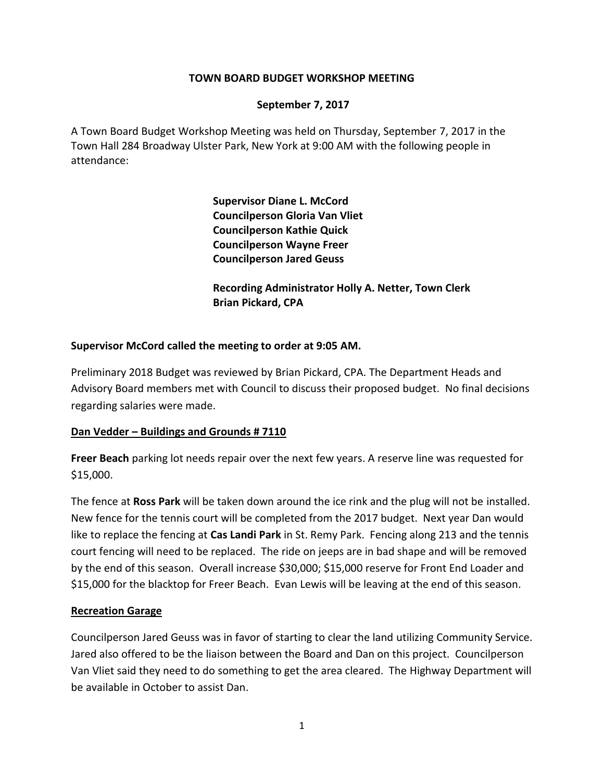### **TOWN BOARD BUDGET WORKSHOP MEETING**

#### **September 7, 2017**

A Town Board Budget Workshop Meeting was held on Thursday, September 7, 2017 in the Town Hall 284 Broadway Ulster Park, New York at 9:00 AM with the following people in attendance:

> **Supervisor Diane L. McCord Councilperson Gloria Van Vliet Councilperson Kathie Quick Councilperson Wayne Freer Councilperson Jared Geuss**

**Recording Administrator Holly A. Netter, Town Clerk Brian Pickard, CPA**

#### **Supervisor McCord called the meeting to order at 9:05 AM.**

Preliminary 2018 Budget was reviewed by Brian Pickard, CPA. The Department Heads and Advisory Board members met with Council to discuss their proposed budget. No final decisions regarding salaries were made.

#### **Dan Vedder – Buildings and Grounds # 7110**

**Freer Beach** parking lot needs repair over the next few years. A reserve line was requested for \$15,000.

The fence at **Ross Park** will be taken down around the ice rink and the plug will not be installed. New fence for the tennis court will be completed from the 2017 budget. Next year Dan would like to replace the fencing at **Cas Landi Park** in St. Remy Park. Fencing along 213 and the tennis court fencing will need to be replaced. The ride on jeeps are in bad shape and will be removed by the end of this season. Overall increase \$30,000; \$15,000 reserve for Front End Loader and \$15,000 for the blacktop for Freer Beach. Evan Lewis will be leaving at the end of this season.

#### **Recreation Garage**

Councilperson Jared Geuss was in favor of starting to clear the land utilizing Community Service. Jared also offered to be the liaison between the Board and Dan on this project. Councilperson Van Vliet said they need to do something to get the area cleared. The Highway Department will be available in October to assist Dan.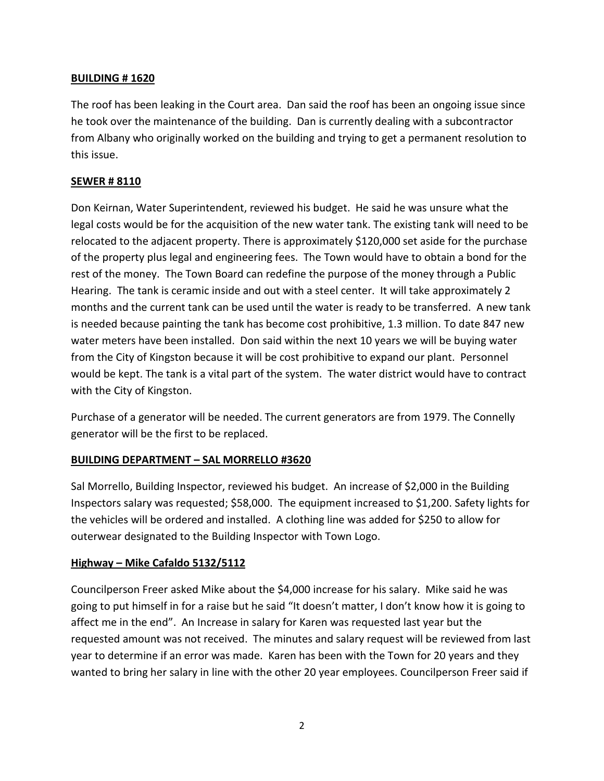## **BUILDING # 1620**

The roof has been leaking in the Court area. Dan said the roof has been an ongoing issue since he took over the maintenance of the building. Dan is currently dealing with a subcontractor from Albany who originally worked on the building and trying to get a permanent resolution to this issue.

## **SEWER # 8110**

Don Keirnan, Water Superintendent, reviewed his budget. He said he was unsure what the legal costs would be for the acquisition of the new water tank. The existing tank will need to be relocated to the adjacent property. There is approximately \$120,000 set aside for the purchase of the property plus legal and engineering fees. The Town would have to obtain a bond for the rest of the money. The Town Board can redefine the purpose of the money through a Public Hearing. The tank is ceramic inside and out with a steel center. It will take approximately 2 months and the current tank can be used until the water is ready to be transferred. A new tank is needed because painting the tank has become cost prohibitive, 1.3 million. To date 847 new water meters have been installed. Don said within the next 10 years we will be buying water from the City of Kingston because it will be cost prohibitive to expand our plant. Personnel would be kept. The tank is a vital part of the system. The water district would have to contract with the City of Kingston.

Purchase of a generator will be needed. The current generators are from 1979. The Connelly generator will be the first to be replaced.

### **BUILDING DEPARTMENT – SAL MORRELLO #3620**

Sal Morrello, Building Inspector, reviewed his budget. An increase of \$2,000 in the Building Inspectors salary was requested; \$58,000. The equipment increased to \$1,200. Safety lights for the vehicles will be ordered and installed. A clothing line was added for \$250 to allow for outerwear designated to the Building Inspector with Town Logo.

### **Highway – Mike Cafaldo 5132/5112**

Councilperson Freer asked Mike about the \$4,000 increase for his salary. Mike said he was going to put himself in for a raise but he said "It doesn't matter, I don't know how it is going to affect me in the end". An Increase in salary for Karen was requested last year but the requested amount was not received. The minutes and salary request will be reviewed from last year to determine if an error was made. Karen has been with the Town for 20 years and they wanted to bring her salary in line with the other 20 year employees. Councilperson Freer said if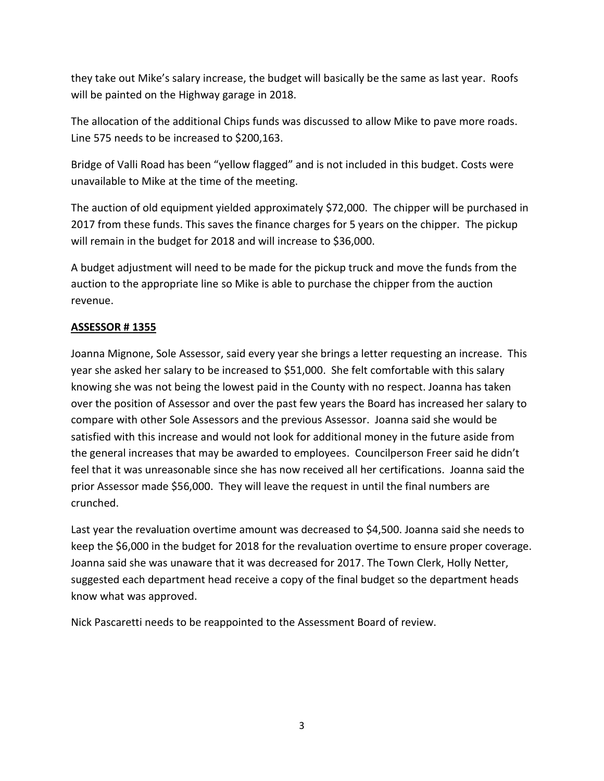they take out Mike's salary increase, the budget will basically be the same as last year. Roofs will be painted on the Highway garage in 2018.

The allocation of the additional Chips funds was discussed to allow Mike to pave more roads. Line 575 needs to be increased to \$200,163.

Bridge of Valli Road has been "yellow flagged" and is not included in this budget. Costs were unavailable to Mike at the time of the meeting.

The auction of old equipment yielded approximately \$72,000. The chipper will be purchased in 2017 from these funds. This saves the finance charges for 5 years on the chipper. The pickup will remain in the budget for 2018 and will increase to \$36,000.

A budget adjustment will need to be made for the pickup truck and move the funds from the auction to the appropriate line so Mike is able to purchase the chipper from the auction revenue.

## **ASSESSOR # 1355**

Joanna Mignone, Sole Assessor, said every year she brings a letter requesting an increase. This year she asked her salary to be increased to \$51,000. She felt comfortable with this salary knowing she was not being the lowest paid in the County with no respect. Joanna has taken over the position of Assessor and over the past few years the Board has increased her salary to compare with other Sole Assessors and the previous Assessor. Joanna said she would be satisfied with this increase and would not look for additional money in the future aside from the general increases that may be awarded to employees. Councilperson Freer said he didn't feel that it was unreasonable since she has now received all her certifications. Joanna said the prior Assessor made \$56,000. They will leave the request in until the final numbers are crunched.

Last year the revaluation overtime amount was decreased to \$4,500. Joanna said she needs to keep the \$6,000 in the budget for 2018 for the revaluation overtime to ensure proper coverage. Joanna said she was unaware that it was decreased for 2017. The Town Clerk, Holly Netter, suggested each department head receive a copy of the final budget so the department heads know what was approved.

Nick Pascaretti needs to be reappointed to the Assessment Board of review.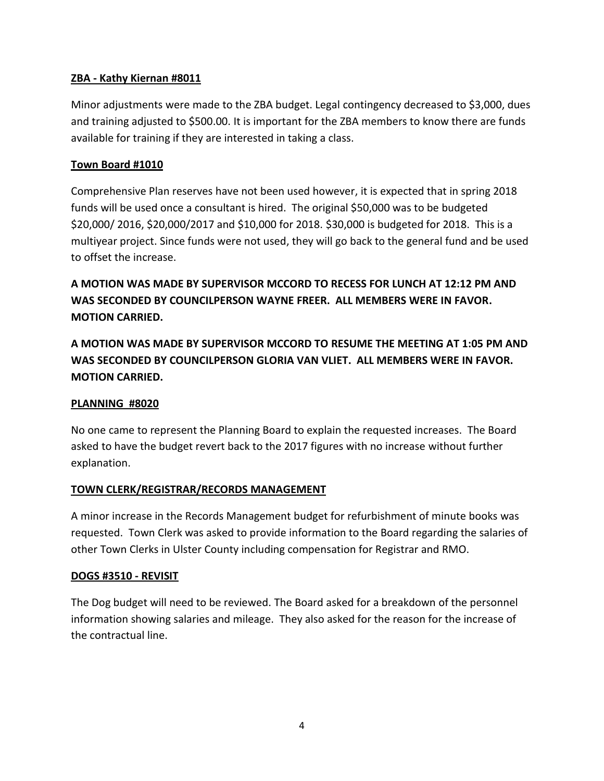## **ZBA - Kathy Kiernan #8011**

Minor adjustments were made to the ZBA budget. Legal contingency decreased to \$3,000, dues and training adjusted to \$500.00. It is important for the ZBA members to know there are funds available for training if they are interested in taking a class.

## **Town Board #1010**

Comprehensive Plan reserves have not been used however, it is expected that in spring 2018 funds will be used once a consultant is hired. The original \$50,000 was to be budgeted \$20,000/ 2016, \$20,000/2017 and \$10,000 for 2018. \$30,000 is budgeted for 2018. This is a multiyear project. Since funds were not used, they will go back to the general fund and be used to offset the increase.

**A MOTION WAS MADE BY SUPERVISOR MCCORD TO RECESS FOR LUNCH AT 12:12 PM AND WAS SECONDED BY COUNCILPERSON WAYNE FREER. ALL MEMBERS WERE IN FAVOR. MOTION CARRIED.** 

**A MOTION WAS MADE BY SUPERVISOR MCCORD TO RESUME THE MEETING AT 1:05 PM AND WAS SECONDED BY COUNCILPERSON GLORIA VAN VLIET. ALL MEMBERS WERE IN FAVOR. MOTION CARRIED.** 

### **PLANNING #8020**

No one came to represent the Planning Board to explain the requested increases. The Board asked to have the budget revert back to the 2017 figures with no increase without further explanation.

### **TOWN CLERK/REGISTRAR/RECORDS MANAGEMENT**

A minor increase in the Records Management budget for refurbishment of minute books was requested. Town Clerk was asked to provide information to the Board regarding the salaries of other Town Clerks in Ulster County including compensation for Registrar and RMO.

### **DOGS #3510 - REVISIT**

The Dog budget will need to be reviewed. The Board asked for a breakdown of the personnel information showing salaries and mileage. They also asked for the reason for the increase of the contractual line.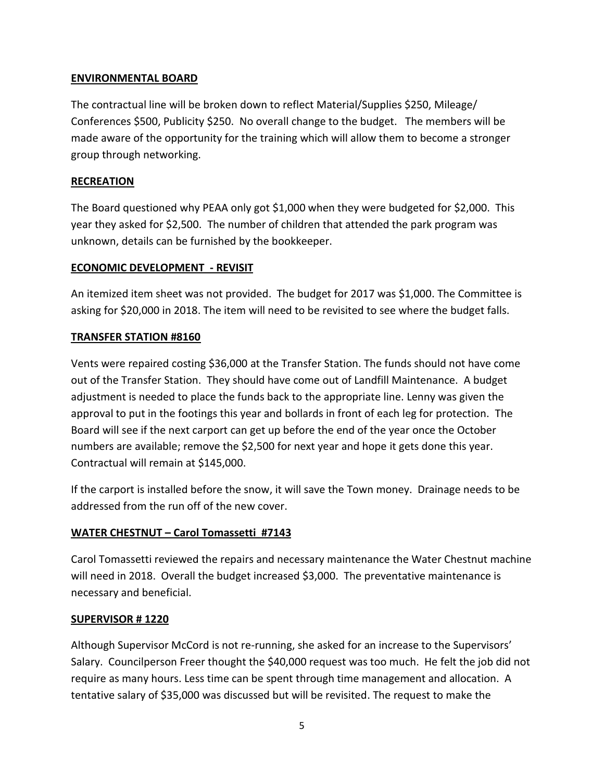## **ENVIRONMENTAL BOARD**

The contractual line will be broken down to reflect Material/Supplies \$250, Mileage/ Conferences \$500, Publicity \$250. No overall change to the budget. The members will be made aware of the opportunity for the training which will allow them to become a stronger group through networking.

## **RECREATION**

The Board questioned why PEAA only got \$1,000 when they were budgeted for \$2,000. This year they asked for \$2,500. The number of children that attended the park program was unknown, details can be furnished by the bookkeeper.

## **ECONOMIC DEVELOPMENT - REVISIT**

An itemized item sheet was not provided. The budget for 2017 was \$1,000. The Committee is asking for \$20,000 in 2018. The item will need to be revisited to see where the budget falls.

### **TRANSFER STATION #8160**

Vents were repaired costing \$36,000 at the Transfer Station. The funds should not have come out of the Transfer Station. They should have come out of Landfill Maintenance. A budget adjustment is needed to place the funds back to the appropriate line. Lenny was given the approval to put in the footings this year and bollards in front of each leg for protection. The Board will see if the next carport can get up before the end of the year once the October numbers are available; remove the \$2,500 for next year and hope it gets done this year. Contractual will remain at \$145,000.

If the carport is installed before the snow, it will save the Town money. Drainage needs to be addressed from the run off of the new cover.

## **WATER CHESTNUT – Carol Tomassetti #7143**

Carol Tomassetti reviewed the repairs and necessary maintenance the Water Chestnut machine will need in 2018. Overall the budget increased \$3,000. The preventative maintenance is necessary and beneficial.

### **SUPERVISOR # 1220**

Although Supervisor McCord is not re-running, she asked for an increase to the Supervisors' Salary. Councilperson Freer thought the \$40,000 request was too much. He felt the job did not require as many hours. Less time can be spent through time management and allocation. A tentative salary of \$35,000 was discussed but will be revisited. The request to make the